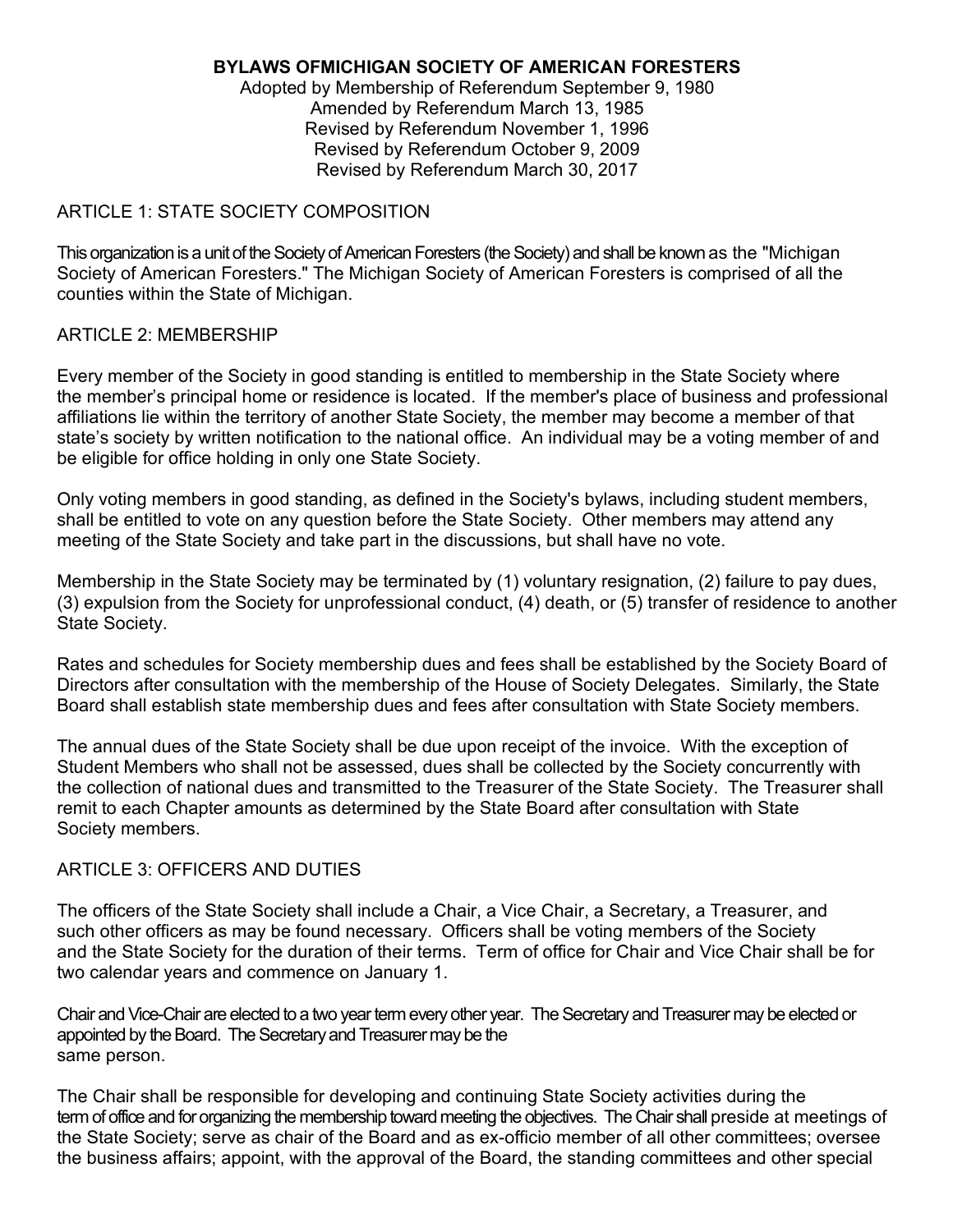## **BYLAWS OFMICHIGAN SOCIETY OF AMERICAN FORESTERS**

Adopted by Membership of Referendum September 9, 1980 Amended by Referendum March 13, 1985 Revised by Referendum November 1, 1996 Revised by Referendum October 9, 2009 Revised by Referendum March 30, 2017

## ARTICLE 1: STATE SOCIETY COMPOSITION

This organization is a unit of the Society of American Foresters (the Society) and shall be known as the "Michigan Society of American Foresters." The Michigan Society of American Foresters is comprised of all the counties within the State of Michigan.

## ARTICLE 2: MEMBERSHIP

Every member of the Society in good standing is entitled to membership in the State Society where the member's principal home or residence is located. If the member's place of business and professional affiliations lie within the territory of another State Society, the member may become a member of that state's society by written notification to the national office. An individual may be a voting member of and be eligible for office holding in only one State Society.

Only voting members in good standing, as defined in the Society's bylaws, including student members, shall be entitled to vote on any question before the State Society. Other members may attend any meeting of the State Society and take part in the discussions, but shall have no vote.

Membership in the State Society may be terminated by (1) voluntary resignation, (2) failure to pay dues, (3) expulsion from the Society for unprofessional conduct, (4) death, or (5) transfer of residence to another State Society.

Rates and schedules for Society membership dues and fees shall be established by the Society Board of Directors after consultation with the membership of the House of Society Delegates. Similarly, the State Board shall establish state membership dues and fees after consultation with State Society members.

The annual dues of the State Society shall be due upon receipt of the invoice. With the exception of Student Members who shall not be assessed, dues shall be collected by the Society concurrently with the collection of national dues and transmitted to the Treasurer of the State Society. The Treasurer shall remit to each Chapter amounts as determined by the State Board after consultation with State Society members.

### ARTICLE 3: OFFICERS AND DUTIES

The officers of the State Society shall include a Chair, a Vice Chair, a Secretary, a Treasurer, and such other officers as may be found necessary. Officers shall be voting members of the Society and the State Society for the duration of their terms. Term of office for Chair and Vice Chair shall be for two calendar years and commence on January 1.

Chair and Vice-Chair are elected to a two year term every other year. The Secretary and Treasurer may be elected or appointed by the Board. The Secretary and Treasurer may be the same person.

The Chair shall be responsible for developing and continuing State Society activities during the term of office and for organizing the membership toward meeting the objectives. The Chair shall preside at meetings of the State Society; serve as chair of the Board and as ex-officio member of all other committees; oversee the business affairs; appoint, with the approval of the Board, the standing committees and other special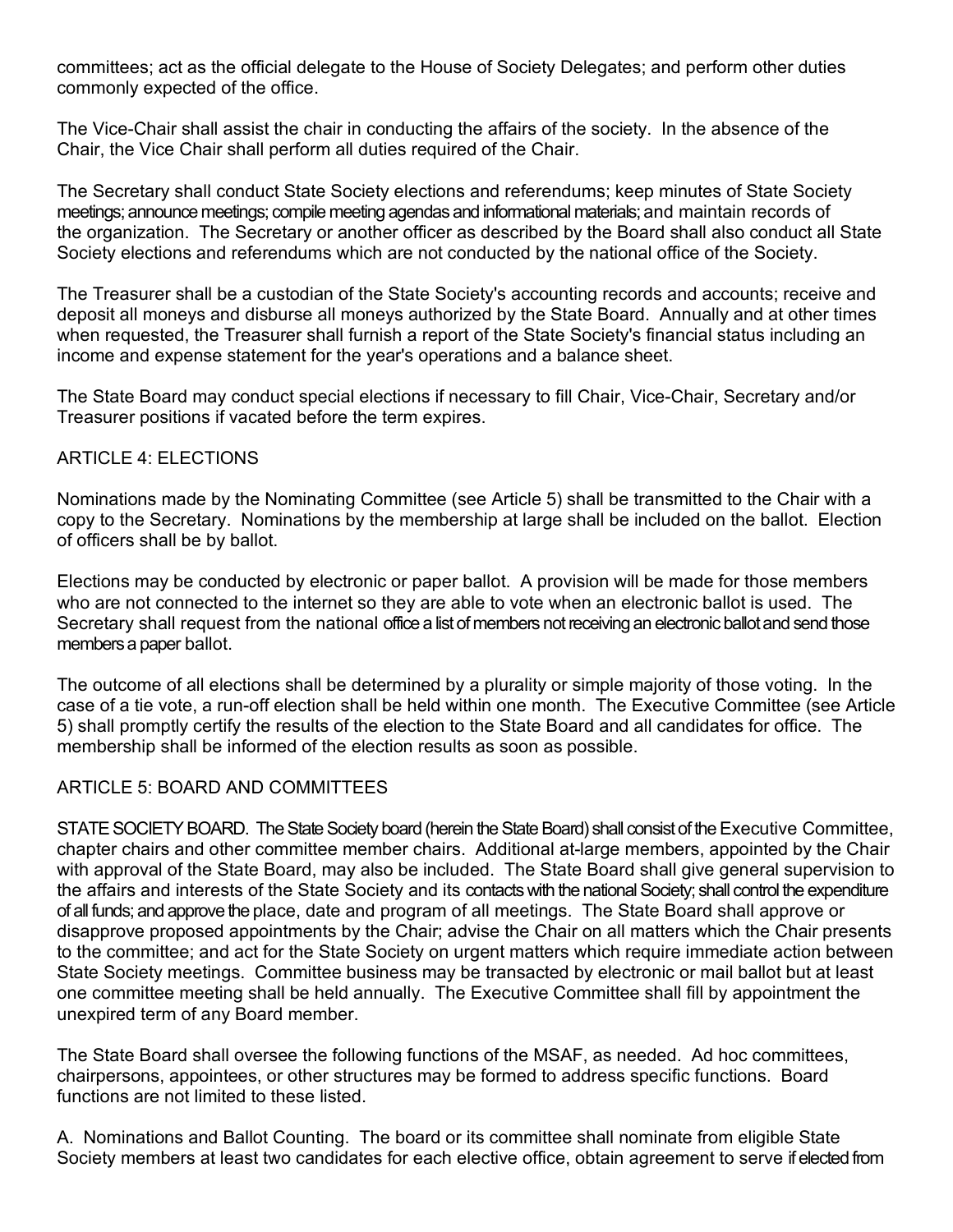committees; act as the official delegate to the House of Society Delegates; and perform other duties commonly expected of the office.

The Vice-Chair shall assist the chair in conducting the affairs of the society. In the absence of the Chair, the Vice Chair shall perform all duties required of the Chair.

The Secretary shall conduct State Society elections and referendums; keep minutes of State Society meetings; announce meetings; compile meeting agendas and informational materials;and maintain records of the organization. The Secretary or another officer as described by the Board shall also conduct all State Society elections and referendums which are not conducted by the national office of the Society.

The Treasurer shall be a custodian of the State Society's accounting records and accounts; receive and deposit all moneys and disburse all moneys authorized by the State Board. Annually and at other times when requested, the Treasurer shall furnish a report of the State Society's financial status including an income and expense statement for the year's operations and a balance sheet.

The State Board may conduct special elections if necessary to fill Chair, Vice-Chair, Secretary and/or Treasurer positions if vacated before the term expires.

## ARTICLE 4: ELECTIONS

Nominations made by the Nominating Committee (see Article 5) shall be transmitted to the Chair with a copy to the Secretary. Nominations by the membership at large shall be included on the ballot. Election of officers shall be by ballot.

Elections may be conducted by electronic or paper ballot. A provision will be made for those members who are not connected to the internet so they are able to vote when an electronic ballot is used. The Secretary shall request from the national office a list of members not receiving an electronic ballot and send those members a paper ballot.

The outcome of all elections shall be determined by a plurality or simple majority of those voting. In the case of a tie vote, a run-off election shall be held within one month. The Executive Committee (see Article 5) shall promptly certify the results of the election to the State Board and all candidates for office. The membership shall be informed of the election results as soon as possible.

### ARTICLE 5: BOARD AND COMMITTEES

STATE SOCIETY BOARD. The State Society board (herein the State Board) shall consist of the Executive Committee, chapter chairs and other committee member chairs. Additional at-large members, appointed by the Chair with approval of the State Board, may also be included. The State Board shall give general supervision to the affairs and interests of the State Society and its contacts with the national Society; shall control the expenditure ofall funds;and approve the place, date and program of all meetings. The State Board shall approve or disapprove proposed appointments by the Chair; advise the Chair on all matters which the Chair presents to the committee; and act for the State Society on urgent matters which require immediate action between State Society meetings. Committee business may be transacted by electronic or mail ballot but at least one committee meeting shall be held annually. The Executive Committee shall fill by appointment the unexpired term of any Board member.

The State Board shall oversee the following functions of the MSAF, as needed. Ad hoc committees, chairpersons, appointees, or other structures may be formed to address specific functions. Board functions are not limited to these listed.

A. Nominations and Ballot Counting. The board or its committee shall nominate from eligible State Society members at least two candidates for each elective office, obtain agreement to serve ifelected from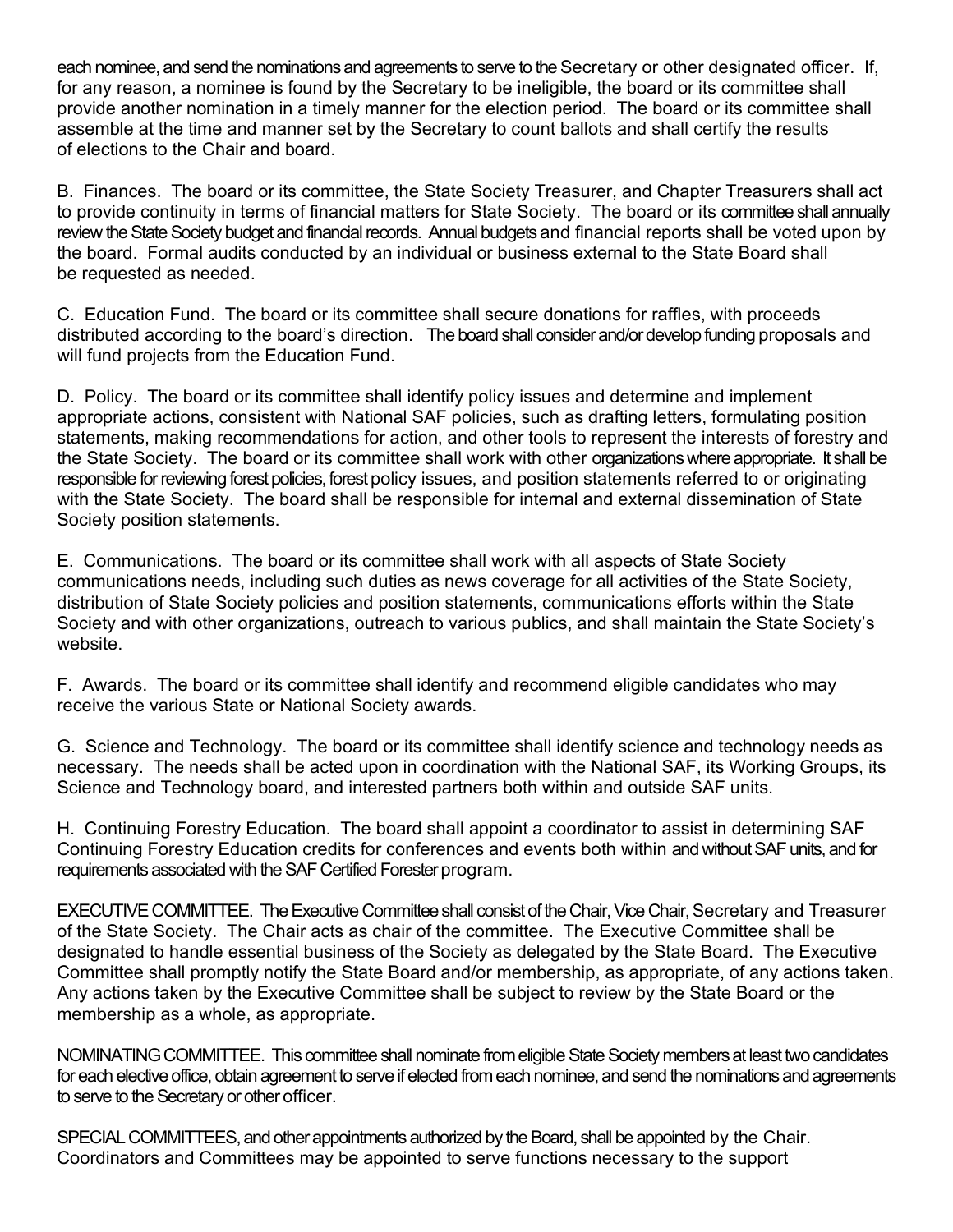each nominee, and send the nominations and agreements to serve to the Secretary or other designated officer. If, for any reason, a nominee is found by the Secretary to be ineligible, the board or its committee shall provide another nomination in a timely manner for the election period. The board or its committee shall assemble at the time and manner set by the Secretary to count ballots and shall certify the results of elections to the Chair and board.

B. Finances. The board or its committee, the State Society Treasurer, and Chapter Treasurers shall act to provide continuity in terms of financial matters for State Society. The board or its committee shall annually review the State Society budget and financial records. Annual budgets and financial reports shall be voted upon by the board. Formal audits conducted by an individual or business external to the State Board shall be requested as needed.

C. Education Fund. The board or its committee shall secure donations for raffles, with proceeds distributed according to the board's direction. The board shall considerand/ordevelop funding proposals and will fund projects from the Education Fund.

D. Policy. The board or its committee shall identify policy issues and determine and implement appropriate actions, consistent with National SAF policies, such as drafting letters, formulating position statements, making recommendations for action, and other tools to represent the interests of forestry and the State Society. The board or its committee shall work with other organizations where appropriate. It shall be responsible for reviewing forest policies, forest policy issues, and position statements referred to or originating with the State Society. The board shall be responsible for internal and external dissemination of State Society position statements.

E. Communications. The board or its committee shall work with all aspects of State Society communications needs, including such duties as news coverage for all activities of the State Society, distribution of State Society policies and position statements, communications efforts within the State Society and with other organizations, outreach to various publics, and shall maintain the State Society's website.

F. Awards. The board or its committee shall identify and recommend eligible candidates who may receive the various State or National Society awards.

G. Science and Technology. The board or its committee shall identify science and technology needs as necessary. The needs shall be acted upon in coordination with the National SAF, its Working Groups, its Science and Technology board, and interested partners both within and outside SAF units.

H. Continuing Forestry Education. The board shall appoint a coordinator to assist in determining SAF Continuing Forestry Education credits for conferences and events both within and without SAF units, and for requirements associated with the SAF Certified Forester program.

EXECUTIVE COMMITTEE. The Executive Committee shall consist of the Chair, Vice Chair, Secretary and Treasurer of the State Society. The Chair acts as chair of the committee. The Executive Committee shall be designated to handle essential business of the Society as delegated by the State Board. The Executive Committee shall promptly notify the State Board and/or membership, as appropriate, of any actions taken. Any actions taken by the Executive Committee shall be subject to review by the State Board or the membership as a whole, as appropriate.

NOMINATING COMMITTEE. This committee shall nominate from eligible State Society members at least two candidates for each elective office, obtain agreement to serve if elected from each nominee, and send the nominations and agreements to serve to the Secretary or other officer.

SPECIAL COMMITTEES, and other appointments authorized by the Board, shall be appointed by the Chair. Coordinators and Committees may be appointed to serve functions necessary to the support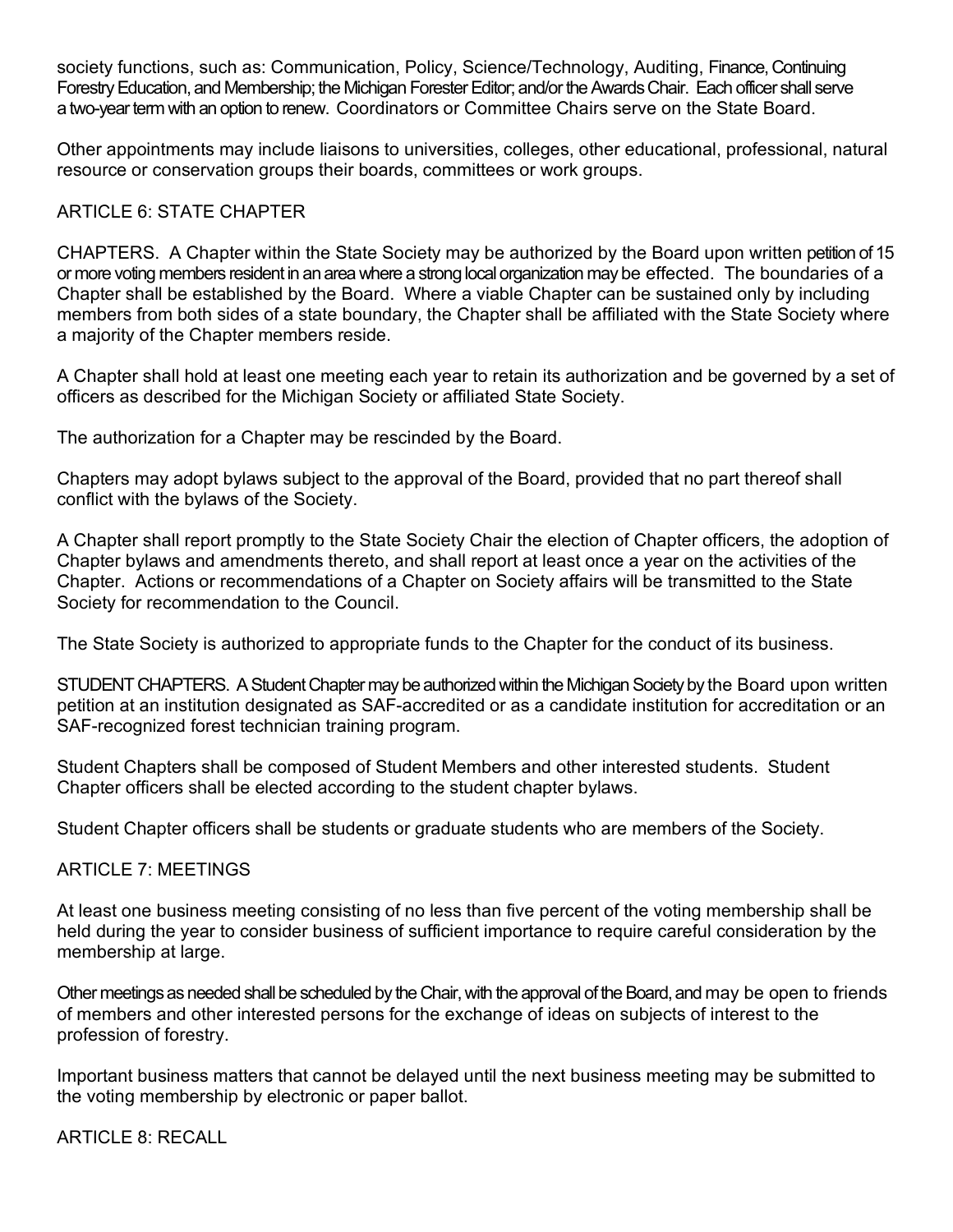society functions, such as: Communication, Policy, Science/Technology, Auditing, Finance, Continuing Forestry Education, and Membership; the Michigan Forester Editor; and/or the Awards Chair. Each officer shall serve a two-yearterm with an option to renew. Coordinators or Committee Chairs serve on the State Board.

Other appointments may include liaisons to universities, colleges, other educational, professional, natural resource or conservation groups their boards, committees or work groups.

# ARTICLE 6: STATE CHAPTER

CHAPTERS. A Chapter within the State Society may be authorized by the Board upon written petition of 15 or more voting members resident in an area where a strong local organization may be effected. The boundaries of a Chapter shall be established by the Board. Where a viable Chapter can be sustained only by including members from both sides of a state boundary, the Chapter shall be affiliated with the State Society where a majority of the Chapter members reside.

A Chapter shall hold at least one meeting each year to retain its authorization and be governed by a set of officers as described for the Michigan Society or affiliated State Society.

The authorization for a Chapter may be rescinded by the Board.

Chapters may adopt bylaws subject to the approval of the Board, provided that no part thereof shall conflict with the bylaws of the Society.

A Chapter shall report promptly to the State Society Chair the election of Chapter officers, the adoption of Chapter bylaws and amendments thereto, and shall report at least once a year on the activities of the Chapter. Actions or recommendations of a Chapter on Society affairs will be transmitted to the State Society for recommendation to the Council.

The State Society is authorized to appropriate funds to the Chapter for the conduct of its business.

STUDENT CHAPTERS. A Student Chapter may be authorized within the Michigan Society by the Board upon written petition at an institution designated as SAF-accredited or as a candidate institution for accreditation or an SAF-recognized forest technician training program.

Student Chapters shall be composed of Student Members and other interested students. Student Chapter officers shall be elected according to the student chapter bylaws.

Student Chapter officers shall be students or graduate students who are members of the Society.

# ARTICLE 7: MEETINGS

At least one business meeting consisting of no less than five percent of the voting membership shall be held during the year to consider business of sufficient importance to require careful consideration by the membership at large.

Other meetings as needed shall be scheduled by the Chair, with the approval of the Board, and may be open to friends of members and other interested persons for the exchange of ideas on subjects of interest to the profession of forestry.

Important business matters that cannot be delayed until the next business meeting may be submitted to the voting membership by electronic or paper ballot.

ARTICLE 8: RECALL